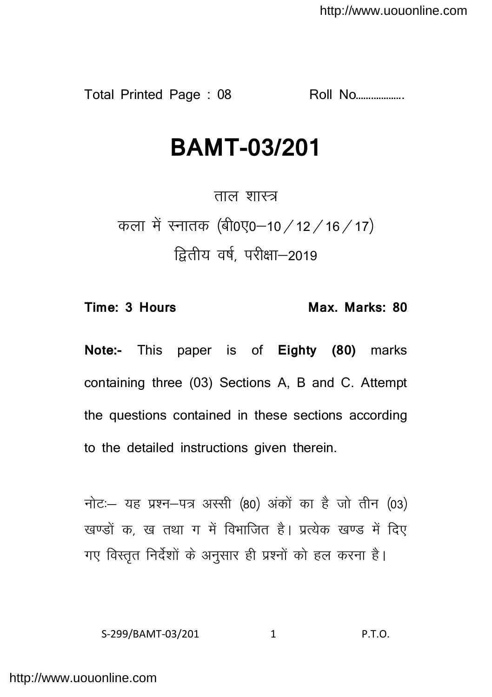Total Printed Page : 08 Roll No……………….

# **BAMT-03/201**

ताल शास्त्र कला में स्नातक (बी0ए0-10 / 12 / 16 / 17) द्वितीय वर्ष. परीक्षा-2019

**Time: 3 Hours Max. Marks: 80** 

**Note:-** This paper is of **Eighty (80)** marks containing three (03) Sections A, B and C. Attempt the questions contained in these sections according to the detailed instructions given therein.

नोट: यह प्रश्न-पत्र अस्सी (80) अंकों का है जो तीन (03) खण्डों क, ख तथा ग में विभाजित है। प्रत्येक खण्ड में दिए गए विस्तृत निर्देशों के अनुसार ही प्रश्नों को हल करना है।

S-299/BAMT-03/201 1 P.T.O.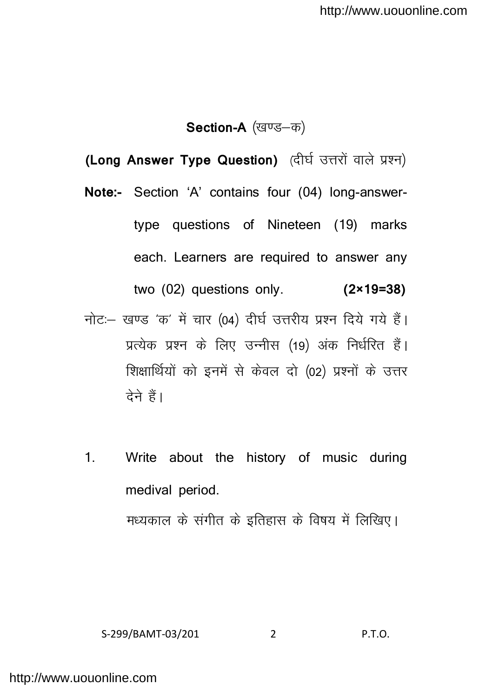**Section-A** (खण्ड-क)

(Long Answer Type Question) (दीर्घ उत्तरों वाले प्रश्न)

- **Note:-** Section 'A' contains four (04) long-answertype questions of Nineteen (19) marks each. Learners are required to answer any two (02) questions only. **(2×19=38)**
- नोट: खण्ड 'क' में चार (04) दीर्घ उत्तरीय प्रश्न दिये गये हैं। प्रत्येक प्रश्न के लिए उन्नीस (19) अंक निर्धरित हैं। शिक्षार्थियों को इनमें से केवल दो (02) प्रश्नों के उत्तर देने हैं।
- 1. Write about the history of music during medival period. मध्यकाल के संगीत के इतिहास के विषय में लिखिए।

S-299/BAMT-03/201 2 P.T.O.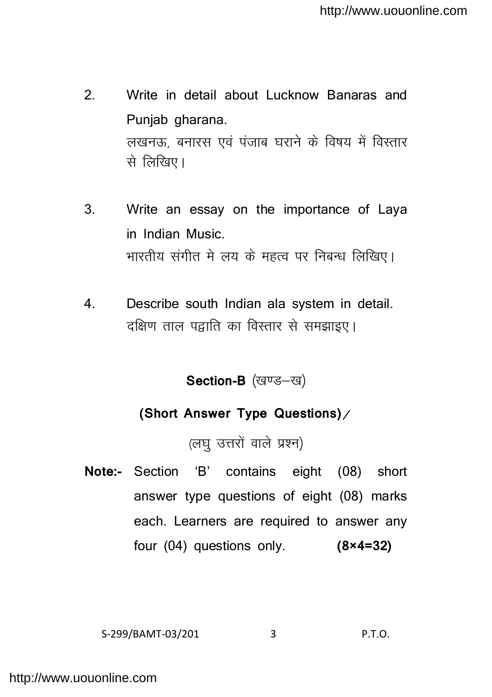- 2. Write in detail about Lucknow Banaras and Punjab gharana. लखनऊ, बनारस एवं पंजाब घराने के विषय में विस्तार से लिखिए।
- 3. Write an essay on the importance of Laya in Indian Music. भारतीय संगीत मे लय के महत्व पर निबन्ध लिखिए।
- 4. Describe south Indian ala system in detail. दक्षिण ताल पद्वाति का विस्तार से समझाइए।

**Section-B** (खण्ड-ख)

## **(Short Answer Type Questions)**

(लघ उत्तरों वाले प्रश्न)

**Note:-** Section 'B' contains eight (08) short answer type questions of eight (08) marks each. Learners are required to answer any four (04) questions only. **(8×4=32)**

$$
S-299/BAMT-03/201 \t\t 3 \t P.T.O.
$$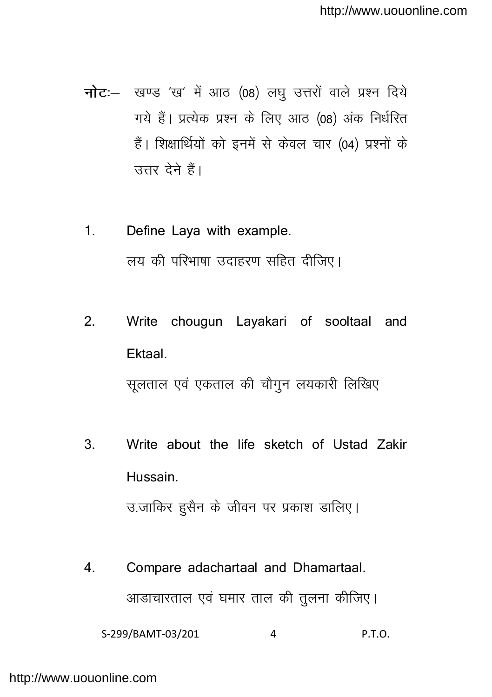- $\vec{h}$ ट:- खण्ड 'ख' में आठ (08) लघु उत्तरों वाले प्रश्न दिये गये हैं। प्रत्येक प्रश्न के लिए आठ (08) अंक निर्धरित हैं। शिक्षार्थियों को इनमें से केवल चार (04) प्रश्नों के उत्तर देने हैं।
- 1. Define Laya with example. लय की परिभाषा उदाहरण सहित दीजिए।
- 2. Write chougun Layakari of sooltaal and Ektaal. सलताल एवं एकताल की चौगन लयकारी लिखिए
- 3. Write about the life sketch of Ustad Zakir Hussain.

उ.जाकिर हुसैन के जीवन पर प्रकाश डालिए।

4. Compare adachartaal and Dhamartaal. आडाचारताल एवं घमार ताल की तुलना कीजिए।

S-299/BAMT-03/201 4 P.T.O.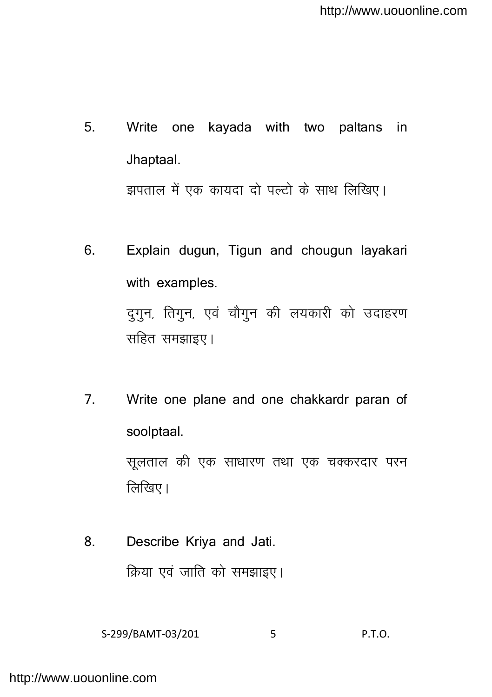- 5. Write one kayada with two paltans in Jhaptaal. झपताल में एक कायदा दो पल्टो के साथ लिखिए।
- 6. Explain dugun, Tigun and chougun layakari with examples. दुगुन, तिगुन, एवं चौगुन की लयकारी को उदाहरण सहित समझाइए।
- 7. Write one plane and one chakkardr paran of soolptaal.

सुलताल की एक साधारण तथा एक चक्करदार परन  $\widehat{G}$ खिए।

8. Describe Kriya and Jati. क्रिया एवं जाति को समझाइए।

S-299/BAMT-03/201 5 P.T.O.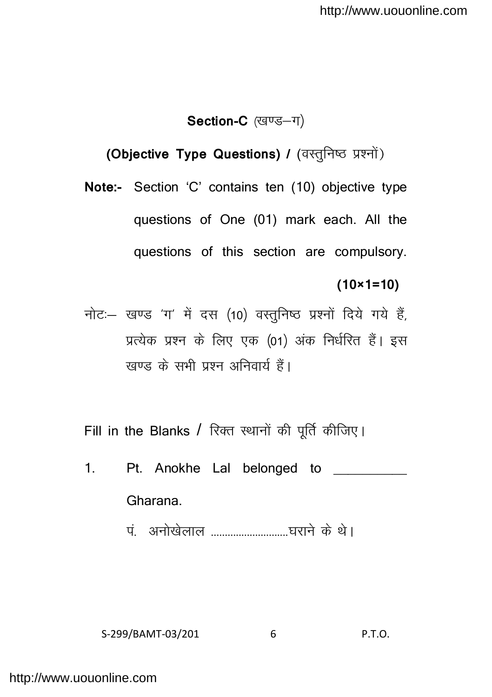### Section-C (खण्ड-ग)

## **(Objective Type Questions) / (वस्तुनिष्ठ प्रश्नों)**

**Note:-** Section 'C' contains ten (10) objective type questions of One (01) mark each. All the questions of this section are compulsory.

#### **(10×1=10)**

नोट: खण्ड 'ग' में दस (10) वस्तुनिष्ठ प्रश्नों दिये गये हैं, प्रत्येक प्रश्न के लिए एक (01) अंक निर्धरित हैं। इस खण्ड के सभी प्रश्न अनिवार्य हैं।

Fill in the Blanks / रिक्त स्थानों की पूर्ति कीजिए।

- 1. Pt. Anokhe Lal belonged to \_\_\_\_\_\_\_\_\_ Gharana.
	- ia- vuks[ksyky ----------------------------?kjkus d s FksA

S-299/BAMT-03/201 6 P.T.O.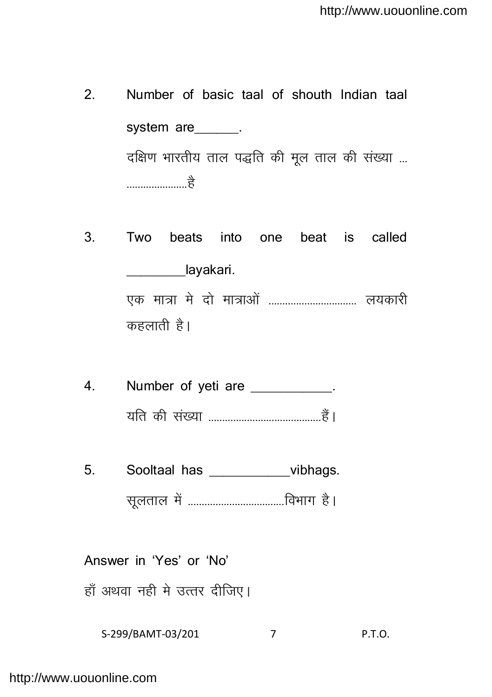- 2. Number of basic taal of shouth Indian taal system are \_\_\_\_\_. दक्षिण भारतीय ताल पद्धति की मुल ताल की संख्या ... ----------------------gS
- 3. Two beats into one beat is called layakari. ,d ek=k es nks ek=kvk sa -------------------------------- y;dkjh कहलाती $_8$ ।
- 4. Number of yeti are the same state of  $\sim$ ;fr dh la[;k -----------------------------------------gSaA
- 5. Sooltaal has bubhags. lwyrky esa -----------------------------------foHkkx gSA

Answer in 'Yes' or 'No' हाँ अथवा नही मे उत्तर दीजिए।

S-299/BAMT-03/201 7 P.T.O.